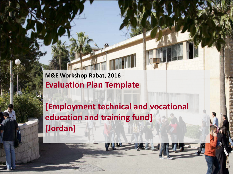**M&E Workshop Rabat, 2016 Evaluation Plan Template**

**[Employment technical and vocational education and training fund] [Jordan]**

Kevin Hempel is a strong of the World Bank 1 the World Bank 1 the World Bank 1 the World Bank 1 the World Bank 1 the World Bank 1 the World Bank 1 the World Bank 1 the World Bank 1 the World Bank 1 the World Bank 1 the Wor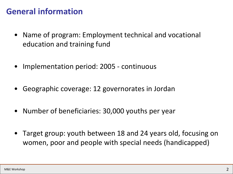## **General information**

- Name of program: Employment technical and vocational education and training fund
- Implementation period: 2005 continuous
- Geographic coverage: 12 governorates in Jordan
- Number of beneficiaries: 30,000 youths per year
- Target group: youth between 18 and 24 years old, focusing on women, poor and people with special needs (handicapped)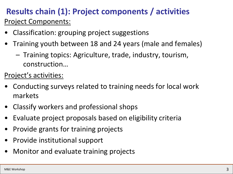## **Results chain (1): Project components / activities** Project Components:

- Classification: grouping project suggestions
- Training youth between 18 and 24 years (male and females)
	- Training topics: Agriculture, trade, industry, tourism, construction…

Project's activities:

- Conducting surveys related to training needs for local work markets
- Classify workers and professional shops
- Evaluate project proposals based on eligibility criteria
- Provide grants for training projects
- Provide institutional support
- Monitor and evaluate training projects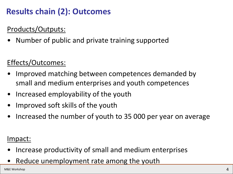# **Results chain (2): Outcomes**

## Products/Outputs:

• Number of public and private training supported

## Effects/Outcomes:

- Improved matching between competences demanded by small and medium enterprises and youth competences
- Increased employability of the youth
- Improved soft skills of the youth
- Increased the number of youth to 35 000 per year on average

### Impact:

- Increase productivity of small and medium enterprises
- Reduce unemployment rate among the youth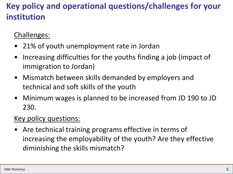# **Key policy and operational questions/challenges for your institution**

### Challenges:

- 21% of youth unemployment rate in Jordan
- Increasing difficulties for the youths finding a job (impact of immigration to Jordan)
- Mismatch between skills demanded by employers and technical and soft skills of the youth
- Minimum wages is planned to be increased from JD 190 to JD 230.

#### Key policy questions:

Are technical training programs effective in terms of increasing the employability of the youth? Are they effective diminishing the skills mismatch?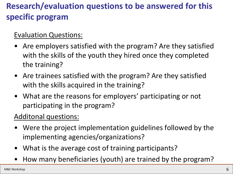# **Research/evaluation questions to be answered for this specific program**

#### Evaluation Questions:

- Are employers satisfied with the program? Are they satisfied with the skills of the youth they hired once they completed the training?
- Are trainees satisfied with the program? Are they satisfied with the skills acquired in the training?
- What are the reasons for employers' participating or not participating in the program?

### Additonal questions:

- Were the project implementation guidelines followed by the implementing agencies/organizations?
- What is the average cost of training participants?
- How many beneficiaries (youth) are trained by the program?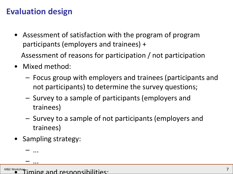## **Evaluation design**

- Assessment of satisfaction with the program of program participants (employers and trainees) + Assessment of reasons for participation / not participation
- Mixed method:
	- Focus group with employers and trainees (participants and not participants) to determine the survey questions;
	- Survey to a sample of participants (employers and trainees)
	- Survey to a sample of not participants (employers and trainees)
- Sampling strategy:

– ...

– ...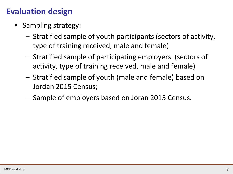## **Evaluation design**

- Sampling strategy:
	- Stratified sample of youth participants (sectors of activity, type of training received, male and female)
	- Stratified sample of participating employers (sectors of activity, type of training received, male and female)
	- Stratified sample of youth (male and female) based on Jordan 2015 Census;
	- Sample of employers based on Joran 2015 Census.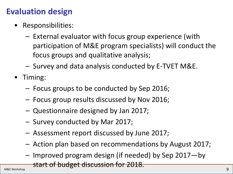## **Evaluation design**

- Responsibilities:
	- External evaluator with focus group experience (with participation of M&E program specialists) will conduct the focus groups and qualitative analysis;
	- Survey and data analysis conducted by E-TVET M&E.
- Timing:
	- Focus groups to be conducted by Sep 2016;
	- Focus group results discussed by Nov 2016;
	- Questionnaire designed by Jan 2017;
	- Survey conducted by Mar 2017;
	- Assessment report discussed by June 2017;
	- Action plan based on recommendations by August 2017;
	- Improved program design (if needed) by Sep 2017—by

start of budget discussion for 2018.<br>M&E Workshop 99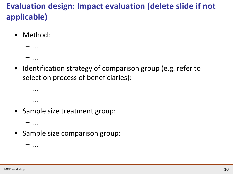# **Evaluation design: Impact evaluation (delete slide if not applicable)**

- Method:
	- ... – ...
- Identification strategy of comparison group (e.g. refer to selection process of beneficiaries):

```
– ...
– ...
```
• Sample size treatment group:

– ...

– ...

• Sample size comparison group: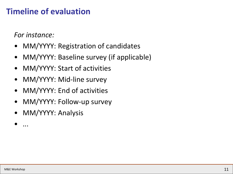## **Timeline of evaluation**

*For instance:*

- MM/YYYY: Registration of candidates
- MM/YYYY: Baseline survey (if applicable)
- MM/YYYY: Start of activities
- MM/YYYY: Mid-line survey
- MM/YYYY: End of activities
- MM/YYYY: Follow-up survey
- MM/YYYY: Analysis

• ...